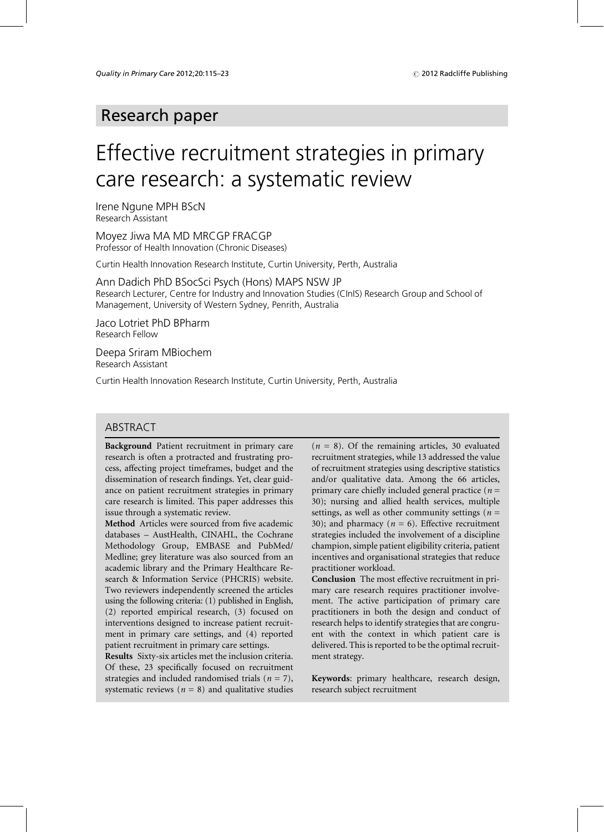## Research paper

# Effective recruitment strategies in primary care research: a systematic review

Irene Ngune MPH BScN Research Assistant

Moyez Jiwa MA MD MRCGP FRACGP Professor of Health Innovation (Chronic Diseases)

Curtin Health Innovation Research Institute, Curtin University, Perth, Australia

Ann Dadich PhD BSocSci Psych (Hons) MAPS NSW JP Research Lecturer, Centre for Industry and Innovation Studies (CInIS) Research Group and School of Management, University of Western Sydney, Penrith, Australia

Jaco Lotriet PhD BPharm Research Fellow

Deepa Sriram MBiochem Research Assistant

Curtin Health Innovation Research Institute, Curtin University, Perth, Australia

## ABSTRACT

Background Patient recruitment in primary care research is often a protracted and frustrating process, affecting project timeframes, budget and the dissemination of research findings. Yet, clear guidance on patient recruitment strategies in primary care research is limited. This paper addresses this issue through a systematic review.

Method Articles were sourced from five academic databases - AustHealth, CINAHL, the Cochrane Methodology Group, EMBASE and PubMed/ Medline; grey literature was also sourced from an academic library and the Primary Healthcare Research & Information Service (PHCRIS) website. Two reviewers independently screened the articles using the following criteria: (1) published in English, (2) reported empirical research, (3) focused on interventions designed to increase patient recruitment in primary care settings, and (4) reported patient recruitment in primary care settings.

Results Sixty-six articles met the inclusion criteria. Of these, 23 specifically focused on recruitment strategies and included randomised trials ( $n = 7$ ), systematic reviews ( $n = 8$ ) and qualitative studies

 $(n = 8)$ . Of the remaining articles, 30 evaluated recruitment strategies, while 13 addressed the value of recruitment strategies using descriptive statistics and/or qualitative data. Among the 66 articles, primary care chiefly included general practice ( $n =$ 30); nursing and allied health services, multiple settings, as well as other community settings ( $n =$ 30); and pharmacy ( $n = 6$ ). Effective recruitment strategies included the involvement of a discipline champion, simple patient eligibility criteria, patient incentives and organisational strategies that reduce practitioner workload.

Conclusion The most effective recruitment in primary care research requires practitioner involvement. The active participation of primary care practitioners in both the design and conduct of research helps to identify strategies that are congruent with the context in which patient care is delivered. This is reported to be the optimal recruitment strategy.

Keywords: primary healthcare, research design, research subject recruitment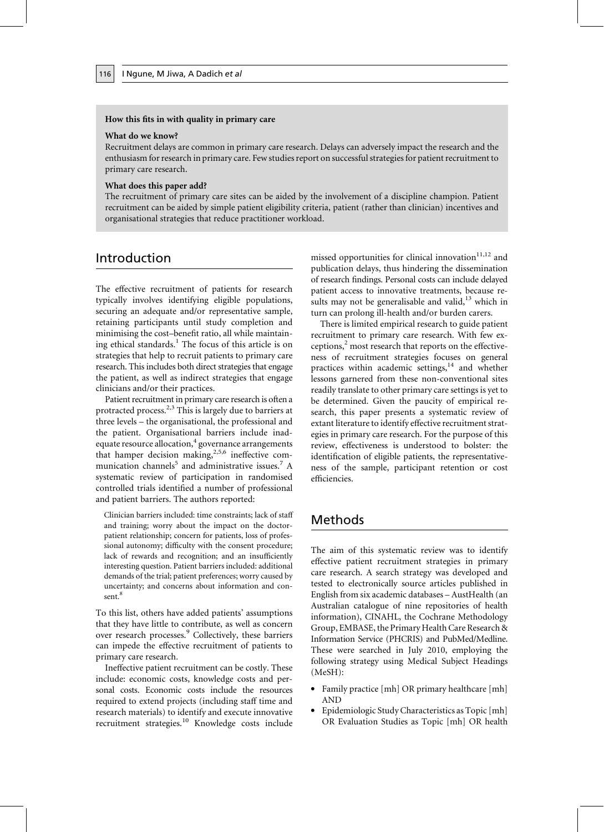#### How this fits in with quality in primary care

#### What do we know?

Recruitment delays are common in primary care research. Delays can adversely impact the research and the enthusiasm for research in primary care. Few studies report on successful strategies for patient recruitment to primary care research.

#### What does this paper add?

The recruitment of primary care sites can be aided by the involvement of a discipline champion. Patient recruitment can be aided by simple patient eligibility criteria, patient (rather than clinician) incentives and organisational strategies that reduce practitioner workload.

## Introduction

The effective recruitment of patients for research typically involves identifying eligible populations, securing an adequate and/or representative sample, retaining participants until study completion and minimising the cost-benefit ratio, all while maintaining ethical standards.<sup>1</sup> The focus of this article is on strategies that help to recruit patients to primary care research. This includes both direct strategies that engage the patient, as well as indirect strategies that engage clinicians and/or their practices.

Patient recruitment in primary care research is often a protracted process.<sup>2,3</sup> This is largely due to barriers at three levels – the organisational, the professional and the patient. Organisational barriers include inadequate resource allocation,<sup>4</sup> governance arrangements that hamper decision making,<sup>2,5,6</sup> ineffective communication channels<sup>5</sup> and administrative issues.<sup>7</sup> A systematic review of participation in randomised controlled trials identified a number of professional and patient barriers. The authors reported:

Clinician barriers included: time constraints; lack of staff and training; worry about the impact on the doctorpatient relationship; concern for patients, loss of professional autonomy; difficulty with the consent procedure; lack of rewards and recognition; and an insufficiently interesting question. Patient barriers included: additional demands of the trial; patient preferences; worry caused by uncertainty; and concerns about information and consent.<sup>8</sup>

To this list, others have added patients' assumptions that they have little to contribute, as well as concern over research processes.<sup>9</sup> Collectively, these barriers can impede the effective recruitment of patients to primary care research.

Ineffective patient recruitment can be costly. These include: economic costs, knowledge costs and personal costs. Economic costs include the resources required to extend projects (including staff time and research materials) to identify and execute innovative recruitment strategies.<sup>10</sup> Knowledge costs include missed opportunities for clinical innovation $11,12$  and publication delays, thus hindering the dissemination of research findings. Personal costs can include delayed patient access to innovative treatments, because results may not be generalisable and valid,<sup>13</sup> which in turn can prolong ill-health and/or burden carers.

There is limited empirical research to guide patient recruitment to primary care research. With few exceptions,<sup>2</sup> most research that reports on the effectiveness of recruitment strategies focuses on general practices within academic settings,<sup>14</sup> and whether lessons garnered from these non-conventional sites readily translate to other primary care settings is yet to be determined. Given the paucity of empirical research, this paper presents a systematic review of extant literature to identify effective recruitment strategies in primary care research. For the purpose of this review, effectiveness is understood to bolster: the identification of eligible patients, the representativeness of the sample, participant retention or cost efficiencies.

## Methods

The aim of this systematic review was to identify effective patient recruitment strategies in primary care research. A search strategy was developed and tested to electronically source articles published in English from six academic databases - AustHealth (an Australian catalogue of nine repositories of health information), CINAHL, the Cochrane Methodology Group, EMBASE, the Primary Health Care Research & Information Service (PHCRIS) and PubMed/Medline. These were searched in July 2010, employing the following strategy using Medical Subject Headings  $(MeSH):$ 

- Family practice [mh] OR primary healthcare [mh] **AND**
- Epidemiologic Study Characteristics as Topic [mh] OR Evaluation Studies as Topic [mh] OR health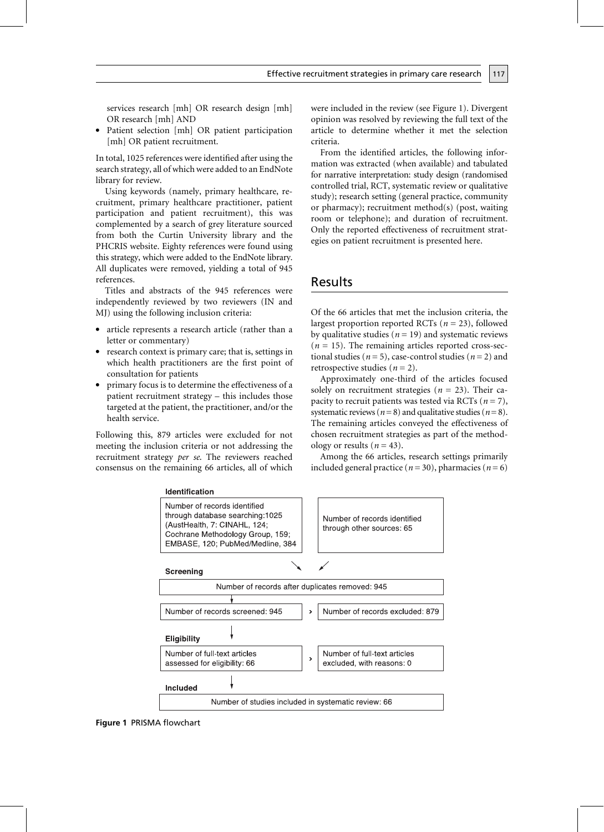services research [mh] OR research design [mh] OR research [mh] AND

• Patient selection [mh] OR patient participation [mh] OR patient recruitment.

In total, 1025 references were identified after using the search strategy, all of which were added to an EndNote library for review.

Using keywords (namely, primary healthcare, recruitment, primary healthcare practitioner, patient participation and patient recruitment), this was complemented by a search of grey literature sourced from both the Curtin University library and the PHCRIS website. Eighty references were found using this strategy, which were added to the EndNote library. All duplicates were removed, yielding a total of 945 references.

Titles and abstracts of the 945 references were independently reviewed by two reviewers (IN and MJ) using the following inclusion criteria:

- article represents a research article (rather than a letter or commentary)
- research context is primary care; that is, settings in which health practitioners are the first point of consultation for patients
- primary focus is to determine the effectiveness of a patient recruitment strategy – this includes those targeted at the patient, the practitioner, and/or the health service.

Following this, 879 articles were excluded for not meeting the inclusion criteria or not addressing the recruitment strategy per se. The reviewers reached consensus on the remaining 66 articles, all of which were included in the review (see Figure 1). Divergent opinion was resolved by reviewing the full text of the article to determine whether it met the selection criteria.

117

From the identified articles, the following information was extracted (when available) and tabulated for narrative interpretation: study design (randomised controlled trial, RCT, systematic review or qualitative study); research setting (general practice, community or pharmacy); recruitment method(s) (post, waiting room or telephone); and duration of recruitment. Only the reported effectiveness of recruitment strategies on patient recruitment is presented here.

## Results

Of the 66 articles that met the inclusion criteria, the largest proportion reported RCTs ( $n = 23$ ), followed by qualitative studies ( $n = 19$ ) and systematic reviews  $(n = 15)$ . The remaining articles reported cross-sectional studies ( $n = 5$ ), case-control studies ( $n = 2$ ) and retrospective studies ( $n = 2$ ).

Approximately one-third of the articles focused solely on recruitment strategies ( $n = 23$ ). Their capacity to recruit patients was tested via RCTs ( $n = 7$ ), systematic reviews ( $n=8$ ) and qualitative studies ( $n=8$ ). The remaining articles conveyed the effectiveness of chosen recruitment strategies as part of the methodology or results ( $n = 43$ ).

Among the 66 articles, research settings primarily included general practice ( $n = 30$ ), pharmacies ( $n = 6$ )



#### **Identification**

Figure 1 PRISMA flowchart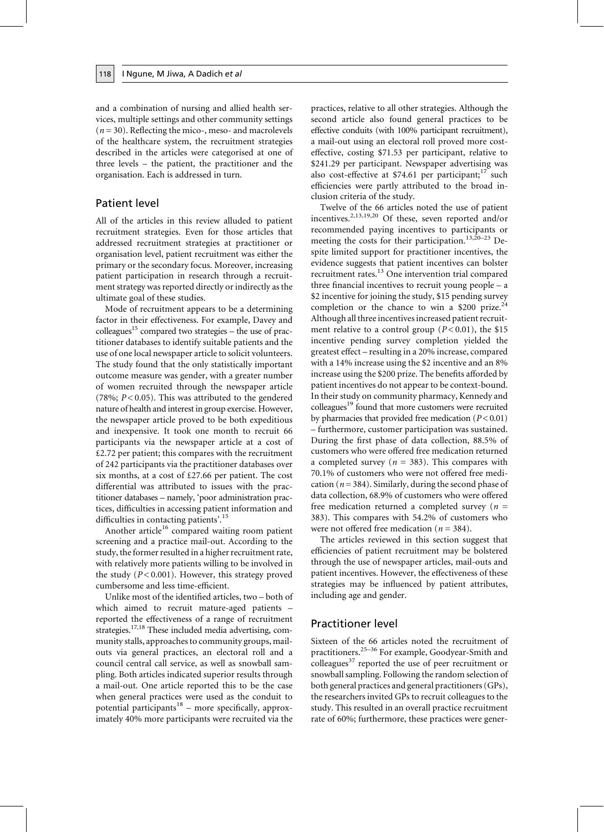and a combination of nursing and allied health services, multiple settings and other community settings  $(n=30)$ . Reflecting the mico-, meso- and macrolevels of the healthcare system, the recruitment strategies described in the articles were categorised at one of three levels – the patient, the practitioner and the organisation. Each is addressed in turn.

#### **Patient level**

118

All of the articles in this review alluded to patient recruitment strategies. Even for those articles that addressed recruitment strategies at practitioner or organisation level, patient recruitment was either the primary or the secondary focus. Moreover, increasing patient participation in research through a recruitment strategy was reported directly or indirectly as the ultimate goal of these studies.

Mode of recruitment appears to be a determining factor in their effectiveness. For example, Davey and colleagues<sup>15</sup> compared two strategies – the use of practitioner databases to identify suitable patients and the use of one local newspaper article to solicit volunteers. The study found that the only statistically important outcome measure was gender, with a greater number of women recruited through the newspaper article (78%;  $P < 0.05$ ). This was attributed to the gendered nature of health and interest in group exercise. However, the newspaper article proved to be both expeditious and inexpensive. It took one month to recruit 66 participants via the newspaper article at a cost of  $£2.72$  per patient; this compares with the recruitment of 242 participants via the practitioner databases over six months, at a cost of  $£27.66$  per patient. The cost differential was attributed to issues with the practitioner databases - namely, 'poor administration practices, difficulties in accessing patient information and difficulties in contacting patients'.<sup>15</sup>

Another article<sup>16</sup> compared waiting room patient screening and a practice mail-out. According to the study, the former resulted in a higher recruitment rate, with relatively more patients willing to be involved in the study ( $P < 0.001$ ). However, this strategy proved cumbersome and less time-efficient.

Unlike most of the identified articles, two – both of which aimed to recruit mature-aged patients reported the effectiveness of a range of recruitment strategies.<sup>17,18</sup> These included media advertising, community stalls, approaches to community groups, mailouts via general practices, an electoral roll and a council central call service, as well as snowball sampling. Both articles indicated superior results through a mail-out. One article reported this to be the case when general practices were used as the conduit to potential participants<sup>18</sup> – more specifically, approximately 40% more participants were recruited via the

practices, relative to all other strategies. Although the second article also found general practices to be effective conduits (with 100% participant recruitment), a mail-out using an electoral roll proved more costeffective, costing \$71.53 per participant, relative to \$241.29 per participant. Newspaper advertising was also cost-effective at \$74.61 per participant;<sup>17</sup> such efficiencies were partly attributed to the broad inclusion criteria of the study.

Twelve of the 66 articles noted the use of patient incentives.<sup>2,13,19,20</sup> Of these, seven reported and/or recommended paying incentives to participants or meeting the costs for their participation.<sup>13,20-23</sup> Despite limited support for practitioner incentives, the evidence suggests that patient incentives can bolster recruitment rates.<sup>13</sup> One intervention trial compared three financial incentives to recruit young people - a \$2 incentive for joining the study, \$15 pending survey completion or the chance to win a \$200 prize.<sup>24</sup> Although all three incentives increased patient recruitment relative to a control group ( $P < 0.01$ ), the \$15 incentive pending survey completion yielded the greatest effect – resulting in a 20% increase, compared with a 14% increase using the \$2 incentive and an 8% increase using the \$200 prize. The benefits afforded by patient incentives do not appear to be context-bound. In their study on community pharmacy, Kennedy and colleagues<sup>19</sup> found that more customers were recruited by pharmacies that provided free medication  $(P<0.01)$ - furthermore, customer participation was sustained. During the first phase of data collection, 88.5% of customers who were offered free medication returned a completed survey ( $n = 383$ ). This compares with 70.1% of customers who were not offered free medication ( $n = 384$ ). Similarly, during the second phase of data collection, 68.9% of customers who were offered free medication returned a completed survey ( $n =$ 383). This compares with 54.2% of customers who were not offered free medication ( $n = 384$ ).

The articles reviewed in this section suggest that efficiencies of patient recruitment may be bolstered through the use of newspaper articles, mail-outs and patient incentives. However, the effectiveness of these strategies may be influenced by patient attributes, including age and gender.

#### **Practitioner level**

Sixteen of the 66 articles noted the recruitment of practitioners.<sup>25-36</sup> For example, Goodyear-Smith and colleagues<sup>37</sup> reported the use of peer recruitment or snowball sampling. Following the random selection of both general practices and general practitioners (GPs), the researchers invited GPs to recruit colleagues to the study. This resulted in an overall practice recruitment rate of 60%; furthermore, these practices were gener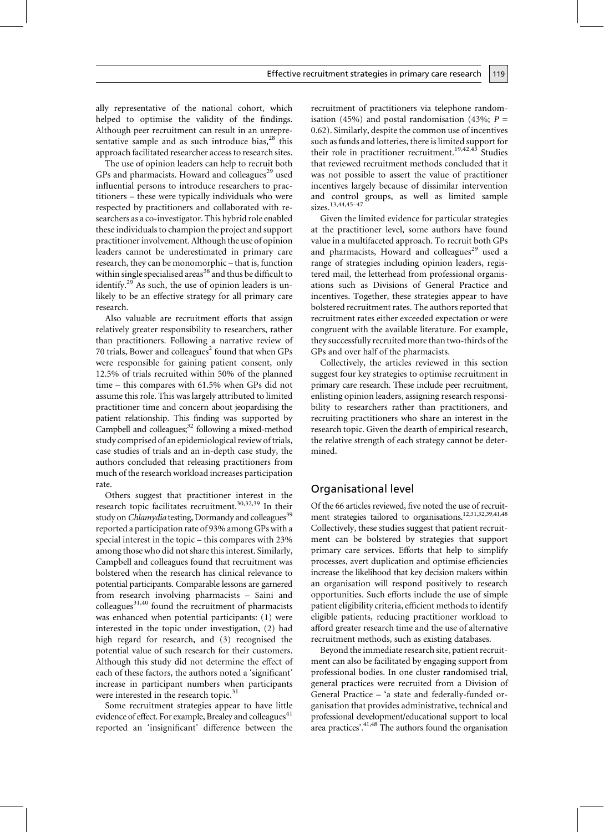ally representative of the national cohort, which helped to optimise the validity of the findings. Although peer recruitment can result in an unrepresentative sample and as such introduce bias,<sup>28</sup> this approach facilitated researcher access to research sites.

The use of opinion leaders can help to recruit both GPs and pharmacists. Howard and colleagues<sup>29</sup> used influential persons to introduce researchers to practitioners – these were typically individuals who were respected by practitioners and collaborated with researchers as a co-investigator. This hybrid role enabled these individuals to champion the project and support practitioner involvement. Although the use of opinion leaders cannot be underestimated in primary care research, they can be monomorphic - that is, function within single specialised areas<sup>38</sup> and thus be difficult to identify.<sup>29</sup> As such, the use of opinion leaders is unlikely to be an effective strategy for all primary care research.

Also valuable are recruitment efforts that assign relatively greater responsibility to researchers, rather than practitioners. Following a narrative review of 70 trials, Bower and colleagues<sup>2</sup> found that when GPs were responsible for gaining patient consent, only 12.5% of trials recruited within 50% of the planned time – this compares with 61.5% when GPs did not assume this role. This was largely attributed to limited practitioner time and concern about jeopardising the patient relationship. This finding was supported by Campbell and colleagues;<sup>32</sup> following a mixed-method study comprised of an epidemiological review of trials, case studies of trials and an in-depth case study, the authors concluded that releasing practitioners from much of the research workload increases participation rate.

Others suggest that practitioner interest in the research topic facilitates recruitment.<sup>30,32,39</sup> In their study on *Chlamydia* testing, Dormandy and colleagues<sup>39</sup> reported a participation rate of 93% among GPs with a special interest in the topic – this compares with 23% among those who did not share this interest. Similarly, Campbell and colleagues found that recruitment was bolstered when the research has clinical relevance to potential participants. Comparable lessons are garnered from research involving pharmacists - Saini and colleagues<sup>31,40</sup> found the recruitment of pharmacists was enhanced when potential participants: (1) were interested in the topic under investigation, (2) had high regard for research, and (3) recognised the potential value of such research for their customers. Although this study did not determine the effect of each of these factors, the authors noted a 'significant' increase in participant numbers when participants were interested in the research topic.<sup>31</sup>

Some recruitment strategies appear to have little evidence of effect. For example, Brealey and colleagues<sup>41</sup> reported an 'insignificant' difference between the recruitment of practitioners via telephone randomisation (45%) and postal randomisation (43%;  $P =$ 0.62). Similarly, despite the common use of incentives such as funds and lotteries, there is limited support for their role in practitioner recruitment.<sup>19,42,43</sup> Studies that reviewed recruitment methods concluded that it was not possible to assert the value of practitioner incentives largely because of dissimilar intervention and control groups, as well as limited sample sizes.<sup>13,44,45-47</sup>

Given the limited evidence for particular strategies at the practitioner level, some authors have found value in a multifaceted approach. To recruit both GPs and pharmacists, Howard and colleagues<sup>29</sup> used a range of strategies including opinion leaders, registered mail, the letterhead from professional organisations such as Divisions of General Practice and incentives. Together, these strategies appear to have bolstered recruitment rates. The authors reported that recruitment rates either exceeded expectation or were congruent with the available literature. For example, they successfully recruited more than two-thirds of the GPs and over half of the pharmacists.

Collectively, the articles reviewed in this section suggest four key strategies to optimise recruitment in primary care research. These include peer recruitment, enlisting opinion leaders, assigning research responsibility to researchers rather than practitioners, and recruiting practitioners who share an interest in the research topic. Given the dearth of empirical research, the relative strength of each strategy cannot be determined.

### Organisational level

Of the 66 articles reviewed, five noted the use of recruitment strategies tailored to organisations.<sup>12,31,32,39,41,48</sup> Collectively, these studies suggest that patient recruitment can be bolstered by strategies that support primary care services. Efforts that help to simplify processes, avert duplication and optimise efficiencies increase the likelihood that key decision makers within an organisation will respond positively to research opportunities. Such efforts include the use of simple patient eligibility criteria, efficient methods to identify eligible patients, reducing practitioner workload to afford greater research time and the use of alternative recruitment methods, such as existing databases.

Beyond the immediate research site, patient recruitment can also be facilitated by engaging support from professional bodies. In one cluster randomised trial, general practices were recruited from a Division of General Practice - 'a state and federally-funded organisation that provides administrative, technical and professional development/educational support to local area practices'. $4^{1,48}$  The authors found the organisation

119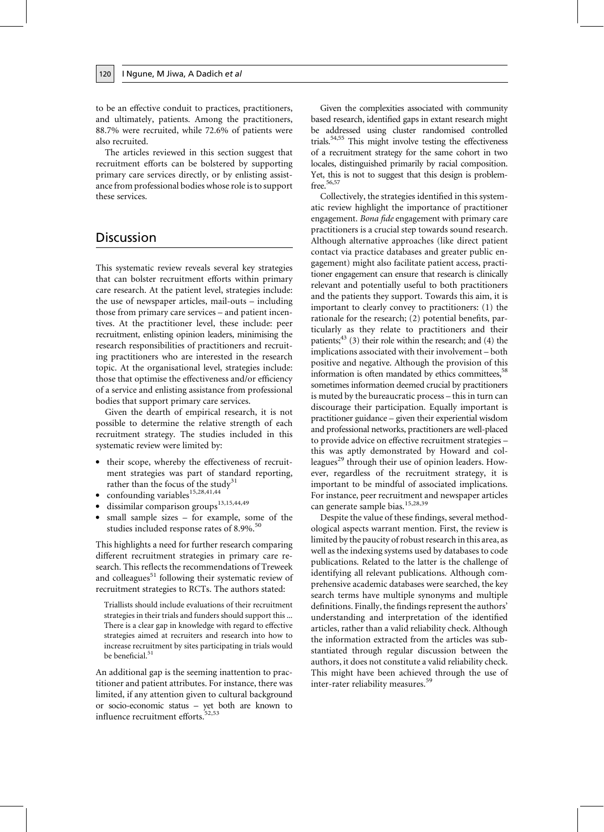to be an effective conduit to practices, practitioners, and ultimately, patients. Among the practitioners, 88.7% were recruited, while 72.6% of patients were also recruited.

The articles reviewed in this section suggest that recruitment efforts can be bolstered by supporting primary care services directly, or by enlisting assistance from professional bodies whose role is to support these services.

## **Discussion**

120

This systematic review reveals several key strategies that can bolster recruitment efforts within primary care research. At the patient level, strategies include: the use of newspaper articles, mail-outs – including those from primary care services – and patient incentives. At the practitioner level, these include: peer recruitment, enlisting opinion leaders, minimising the research responsibilities of practitioners and recruiting practitioners who are interested in the research topic. At the organisational level, strategies include: those that optimise the effectiveness and/or efficiency of a service and enlisting assistance from professional bodies that support primary care services.

Given the dearth of empirical research, it is not possible to determine the relative strength of each recruitment strategy. The studies included in this systematic review were limited by:

- their scope, whereby the effectiveness of recruitment strategies was part of standard reporting, rather than the focus of the study<sup>31</sup>
- confounding variables<sup>15,28,41,44</sup>
- · dissimilar comparison groups<sup>13,15,44,49</sup>
- small sample sizes for example, some of the studies included response rates of 8.9%.<sup>50</sup>

This highlights a need for further research comparing different recruitment strategies in primary care research. This reflects the recommendations of Treweek and colleagues<sup>51</sup> following their systematic review of recruitment strategies to RCTs. The authors stated:

Triallists should include evaluations of their recruitment strategies in their trials and funders should support this ... There is a clear gap in knowledge with regard to effective strategies aimed at recruiters and research into how to increase recruitment by sites participating in trials would be beneficial.<sup>51</sup>

An additional gap is the seeming inattention to practitioner and patient attributes. For instance, there was limited, if any attention given to cultural background or socio-economic status - yet both are known to influence recruitment efforts.<sup>52,53</sup>

Given the complexities associated with community based research, identified gaps in extant research might be addressed using cluster randomised controlled trials.<sup>54,55</sup> This might involve testing the effectiveness of a recruitment strategy for the same cohort in two locales, distinguished primarily by racial composition. Yet, this is not to suggest that this design is problemfree.<sup>56,57</sup>

Collectively, the strategies identified in this systematic review highlight the importance of practitioner engagement. Bona fide engagement with primary care practitioners is a crucial step towards sound research. Although alternative approaches (like direct patient contact via practice databases and greater public engagement) might also facilitate patient access, practitioner engagement can ensure that research is clinically relevant and potentially useful to both practitioners and the patients they support. Towards this aim, it is important to clearly convey to practitioners: (1) the rationale for the research; (2) potential benefits, particularly as they relate to practitioners and their patients;  $43$  (3) their role within the research; and (4) the implications associated with their involvement - both positive and negative. Although the provision of this information is often mandated by ethics committees,<sup>58</sup> sometimes information deemed crucial by practitioners is muted by the bureaucratic process – this in turn can discourage their participation. Equally important is practitioner guidance - given their experiential wisdom and professional networks, practitioners are well-placed to provide advice on effective recruitment strategies this was aptly demonstrated by Howard and colleagues<sup>29</sup> through their use of opinion leaders. However, regardless of the recruitment strategy, it is important to be mindful of associated implications. For instance, peer recruitment and newspaper articles can generate sample bias.<sup>15,28,39</sup>

Despite the value of these findings, several methodological aspects warrant mention. First, the review is limited by the paucity of robust research in this area, as well as the indexing systems used by databases to code publications. Related to the latter is the challenge of identifying all relevant publications. Although comprehensive academic databases were searched, the key search terms have multiple synonyms and multiple definitions. Finally, the findings represent the authors' understanding and interpretation of the identified articles, rather than a valid reliability check. Although the information extracted from the articles was substantiated through regular discussion between the authors, it does not constitute a valid reliability check. This might have been achieved through the use of inter-rater reliability measures.<sup>59</sup>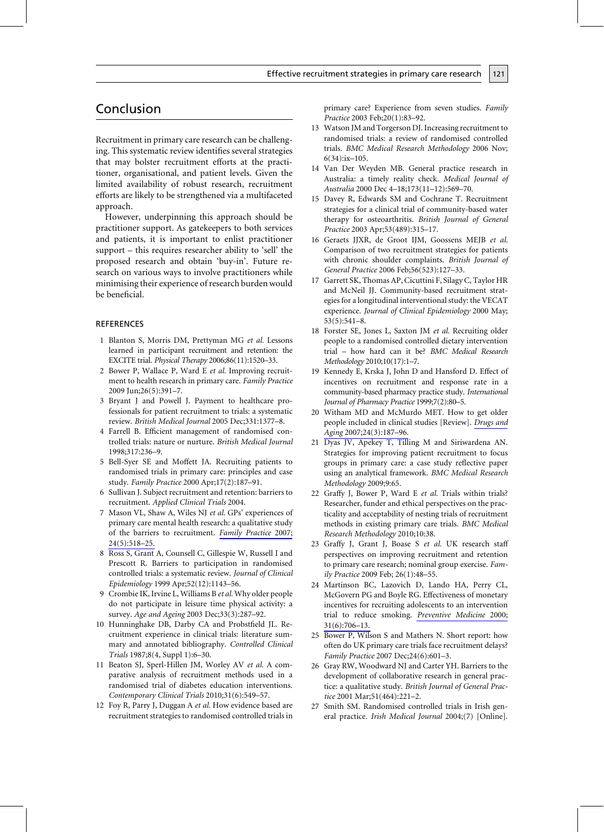## Conclusion

Recruitment in primary care research can be challenging. This systematic review identifies several strategies that may bolster recruitment efforts at the practitioner, organisational, and patient levels. Given the limited availability of robust research, recruitment efforts are likely to be strengthened via a multifaceted approach.

However, underpinning this approach should be practitioner support. As gatekeepers to both services and patients, it is important to enlist practitioner support – this requires researcher ability to 'sell' the proposed research and obtain 'buy-in'. Future research on various ways to involve practitioners while minimising their experience of research burden would be beneficial.

#### **REFERENCES**

- 1 Blanton S, Morris DM, Prettyman MG et al. Lessons learned in participant recruitment and retention: the EXCITE trial. Physical Therapy 2006;86(11):1520-33.
- 2 Bower P, Wallace P, Ward E et al. Improving recruitment to health research in primary care. Family Practice 2009 Jun;26(5):391-7.
- 3 Bryant J and Powell J. Payment to healthcare professionals for patient recruitment to trials: a systematic review. British Medical Journal 2005 Dec;331:1377-8.
- 4 Farrell B. Efficient management of randomised controlled trials: nature or nurture. British Medical Journal 1998;317:236-9.
- 5 Bell-Syer SE and Moffett JA. Recruiting patients to randomised trials in primary care: principles and case study. Family Practice 2000 Apr;17(2):187-91.
- 6 Sullivan J. Subject recruitment and retention: barriers to recruitment. Applied Clinical Trials 2004.
- 7 Mason VL, Shaw A, Wiles NJ et al. GPs' experiences of primary care mental health research: a qualitative study of the barriers to recruitment. Family Practice 2007;  $24(5):518-25.$
- 8 Ross S, Grant A, Counsell C, Gillespie W, Russell I and Prescott R. Barriers to participation in randomised controlled trials: a systematic review. Journal of Clinical Epidemiology 1999 Apr;52(12):1143-56.
- 9 Crombie IK, Irvine L, Williams B et al. Why older people do not participate in leisure time physical activity: a survey. Age and Ageing 2003 Dec;33(3):287-92.
- 10 Hunninghake DB, Darby CA and Probstfield JL. Recruitment experience in clinical trials: literature summary and annotated bibliography. Controlled Clinical Trials 1987;8(4, Suppl 1):6-30.
- 11 Beaton SJ, Sperl-Hillen JM, Worley AV et al. A comparative analysis of recruitment methods used in a randomised trial of diabetes education interventions. Contemporary Clinical Trials 2010;31(6):549-57.
- 12 Foy R, Parry J, Duggan A et al. How evidence based are recruitment strategies to randomised controlled trials in

primary care? Experience from seven studies. Family Practice 2003 Feb;20(1):83-92.

121

- 13 Watson JM and Torgerson DJ. Increasing recruitment to randomised trials: a review of randomised controlled trials. BMC Medical Research Methodology 2006 Nov;  $6(34):ix-105.$
- 14 Van Der Weyden MB. General practice research in Australia: a timely reality check. Medical Journal of Australia 2000 Dec 4-18;173(11-12):569-70.
- 15 Davey R, Edwards SM and Cochrane T. Recruitment strategies for a clinical trial of community-based water therapy for osteoarthritis. British Journal of General Practice 2003 Apr;53(489):315-17.
- 16 Geraets JJXR, de Groot IJM, Goossens MEJB et al. Comparison of two recruitment strategies for patients with chronic shoulder complaints. British Journal of General Practice 2006 Feb;56(523):127-33.
- 17 Garrett SK, Thomas AP, Cicuttini F, Silagy C, Taylor HR and McNeil JJ. Community-based recruitment strategies for a longitudinal interventional study: the VECAT experience. Journal of Clinical Epidemiology 2000 May;  $53(5):541-8.$
- 18 Forster SE, Jones L, Saxton JM et al. Recruiting older people to a randomised controlled dietary intervention trial - how hard can it be? BMC Medical Research Methodology 2010;10(17):1-7.
- 19 Kennedy E, Krska J, John D and Hansford D. Effect of incentives on recruitment and response rate in a community-based pharmacy practice study. International Journal of Pharmacy Practice 1999;7(2):80-5.
- 20 Witham MD and McMurdo MET. How to get older people included in clinical studies [Review]. Drugs and Aging 2007;24(3):187-96.
- 21 Dyas JV, Apekey T, Tilling M and Siriwardena AN. Strategies for improving patient recruitment to focus groups in primary care: a case study reflective paper using an analytical framework. BMC Medical Research Methodology 2009;9:65.
- 22 Graffy J, Bower P, Ward E et al. Trials within trials? Researcher, funder and ethical perspectives on the practicality and acceptability of nesting trials of recruitment methods in existing primary care trials. BMC Medical Research Methodology 2010;10:38.
- 23 Graffy J, Grant J, Boase S et al. UK research staff perspectives on improving recruitment and retention to primary care research; nominal group exercise. Family Practice 2009 Feb; 26(1):48-55.
- 24 Martinson BC, Lazovich D, Lando HA, Perry CL, McGovern PG and Boyle RG. Effectiveness of monetary incentives for recruiting adolescents to an intervention trial to reduce smoking. Preventive Medicine 2000;  $31(6):706-13.$
- 25 Bower P, Wilson S and Mathers N. Short report: how often do UK primary care trials face recruitment delays? Family Practice 2007 Dec; 24(6): 601-3.
- 26 Gray RW, Woodward NJ and Carter YH. Barriers to the development of collaborative research in general practice: a qualitative study. British Journal of General Practice 2001 Mar;51(464):221-2.
- 27 Smith SM. Randomised controlled trials in Irish general practice. Irish Medical Journal 2004;(7) [Online].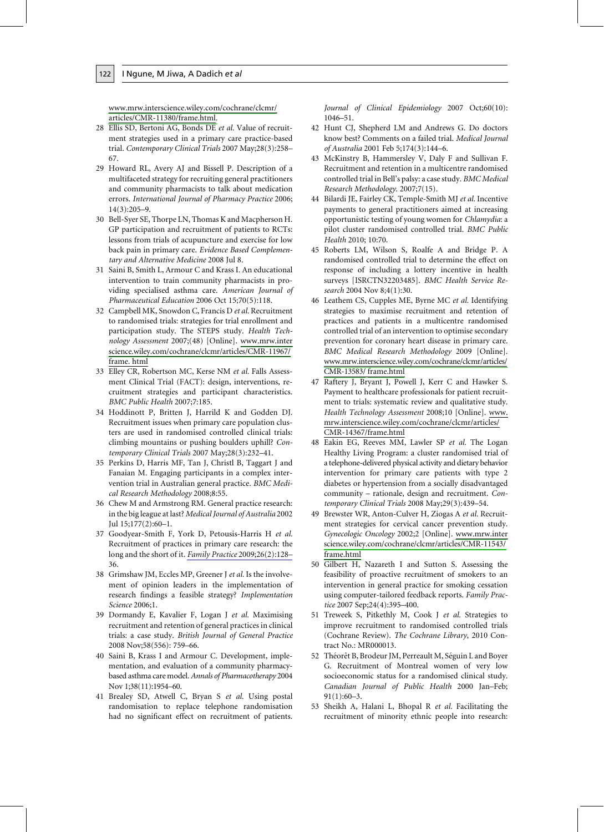122

www.mrw.interscience.wiley.com/cochrane/clcmr/ articles/CMR-11380/frame.html.

- 28 Ellis SD, Bertoni AG, Bonds DE et al. Value of recruitment strategies used in a primary care practice-based trial. Contemporary Clinical Trials 2007 May;28(3):258-67.
- 29 Howard RL, Avery AJ and Bissell P. Description of a multifaceted strategy for recruiting general practitioners and community pharmacists to talk about medication errors. International Journal of Pharmacy Practice 2006;  $14(3):205-9.$
- 30 Bell-Syer SE, Thorpe LN, Thomas K and Macpherson H. GP participation and recruitment of patients to RCTs: lessons from trials of acupuncture and exercise for low back pain in primary care. Evidence Based Complementary and Alternative Medicine 2008 Jul 8.
- 31 Saini B, Smith L, Armour C and Krass I. An educational intervention to train community pharmacists in providing specialised asthma care. American Journal of Pharmaceutical Education 2006 Oct 15;70(5):118.
- 32 Campbell MK, Snowdon C, Francis D et al. Recruitment to randomised trials: strategies for trial enrollment and participation study. The STEPS study. Health Technology Assessment 2007;(48) [Online]. www.mrw.inter science.wiley.com/cochrane/clcmr/articles/CMR-11967/ frame. html
- 33 Elley CR, Robertson MC, Kerse NM et al. Falls Assessment Clinical Trial (FACT): design, interventions, recruitment strategies and participant characteristics. BMC Public Health 2007;7:185.
- 34 Hoddinott P, Britten J, Harrild K and Godden DJ. Recruitment issues when primary care population clusters are used in randomised controlled clinical trials: climbing mountains or pushing boulders uphill? Contemporary Clinical Trials 2007 May;28(3):232-41.
- 35 Perkins D, Harris MF, Tan J, Christl B, Taggart J and Fanaian M. Engaging participants in a complex intervention trial in Australian general practice. BMC Medical Research Methodology 2008;8:55.
- 36 Chew M and Armstrong RM. General practice research: in the big league at last? Medical Journal of Australia 2002 Jul 15;177(2):60-1.
- 37 Goodyear-Smith F, York D, Petousis-Harris H et al. Recruitment of practices in primary care research: the long and the short of it. Family Practice 2009;26(2):128-36.
- 38 Grimshaw JM, Eccles MP, Greener J et al. Is the involvement of opinion leaders in the implementation of research findings a feasible strategy? Implementation Science 2006;1.
- 39 Dormandy E, Kavalier F, Logan J et al. Maximising recruitment and retention of general practices in clinical trials: a case study. British Journal of General Practice 2008 Nov;58(556): 759-66.
- 40 Saini B, Krass I and Armour C. Development, implementation, and evaluation of a community pharmacybased asthma care model. Annals of Pharmacotherapy 2004 Nov 1;38(11):1954-60.
- 41 Brealey SD, Atwell C, Bryan S et al. Using postal randomisation to replace telephone randomisation had no significant effect on recruitment of patients.

Journal of Clinical Epidemiology 2007 Oct;60(10):  $1046 - 51.$ 

- 42 Hunt CJ, Shepherd LM and Andrews G. Do doctors know best? Comments on a failed trial. Medical Journal of Australia 2001 Feb 5;174(3):144-6.
- 43 McKinstry B, Hammersley V, Daly F and Sullivan F. Recruitment and retention in a multicentre randomised controlled trial in Bell's palsy: a case study. BMC Medical Research Methodology. 2007;7(15).
- 44 Bilardi JE, Fairley CK, Temple-Smith MJ et al. Incentive payments to general practitioners aimed at increasing opportunistic testing of young women for Chlamydia: a pilot cluster randomised controlled trial. BMC Public Health 2010: 10:70.
- 45 Roberts LM, Wilson S, Roalfe A and Bridge P. A randomised controlled trial to determine the effect on response of including a lottery incentive in health surveys [ISRCTN32203485]. BMC Health Service Research 2004 Nov 8;4(1):30.
- 46 Leathem CS, Cupples ME, Byrne MC et al. Identifying strategies to maximise recruitment and retention of practices and patients in a multicentre randomised controlled trial of an intervention to optimise secondary prevention for coronary heart disease in primary care. BMC Medical Research Methodology 2009 [Online]. www.mrw.interscience.wiley.com/cochrane/clcmr/articles/ CMR-13583/frame.html
- 47 Raftery J, Bryant J, Powell J, Kerr C and Hawker S. Payment to healthcare professionals for patient recruitment to trials: systematic review and qualitative study. Health Technology Assessment 2008;10 [Online]. www. mrw.interscience.wiley.com/cochrane/clcmr/articles/ CMR-14367/frame.html
- 48 Eakin EG, Reeves MM, Lawler SP et al. The Logan Healthy Living Program: a cluster randomised trial of a telephone-delivered physical activity and dietary behavior intervention for primary care patients with type 2 diabetes or hypertension from a socially disadvantaged community - rationale, design and recruitment. Contemporary Clinical Trials 2008 May;29(3):439-54.
- 49 Brewster WR, Anton-Culver H, Ziogas A et al. Recruitment strategies for cervical cancer prevention study. Gynecologic Oncology 2002;2 [Online]. www.mrw.inter science.wiley.com/cochrane/clcmr/articles/CMR-11543/ frame.html
- 50 Gilbert H, Nazareth I and Sutton S. Assessing the feasibility of proactive recruitment of smokers to an intervention in general practice for smoking cessation using computer-tailored feedback reports. Family Practice 2007 Sep;24(4):395-400.
- 51 Treweek S, Pitkethly M, Cook J et al. Strategies to improve recruitment to randomised controlled trials (Cochrane Review). The Cochrane Library, 2010 Contract No.: MR000013.
- 52 Théorêt B, Brodeur JM, Perreault M, Séguin L and Boyer G. Recruitment of Montreal women of very low socioeconomic status for a randomised clinical study. Canadian Journal of Public Health 2000 Jan-Feb;  $91(1):60-3.$
- 53 Sheikh A, Halani L, Bhopal R et al. Facilitating the recruitment of minority ethnic people into research: